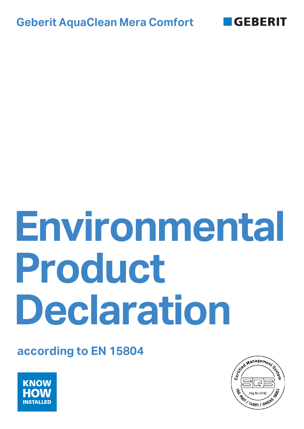



# **Environmental Product Declaration**

# **according to EN 15804**



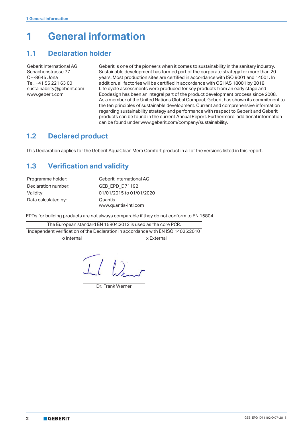# **1 General information**

# <span id="page-1-0"></span>**1.1 Declaration holder**

Geberit International AG Schachenstrasse 77 CH-8645 Jona Tel. +41 55 221 63 00 sustainability@geberit.com www.geberit.com

Geberit is one of the pioneers when it comes to sustainability in the sanitary industry. Sustainable development has formed part of the corporate strategy for more than 20 years. Most production sites are certified in accordance with ISO 9001 and 14001. In addition, all factories will be certified in accordance with OSHAS 18001 by 2018. Life cycle assessments were produced for key products from an early stage and Ecodesign has been an integral part of the product development process since 2008. As a member of the United Nations Global Compact, Geberit has shown its commitment to the ten principles of sustainable development. Current and comprehensive information regarding sustainability strategy and performance with respect to Geberit and Geberit products can be found in the current Annual Report. Furthermore, additional information can be found under www.geberit.com/company/sustainability.

# **1.2 Declared product**

This Declaration applies for the Geberit AquaClean Mera Comfort product in all of the versions listed in this report.

# <span id="page-1-1"></span>**1.3 Verification and validity**

| Programme holder:   | <b>Geberit International AG</b> |
|---------------------|---------------------------------|
| Declaration number: | GEB EPD D71192                  |
| Validity:           | 01/01/2015 to 01/01/2020        |
| Data calculated by: | Quantis                         |
|                     | www.quantis-intl.com            |

EPDs for building products are not always comparable if they do not conform to EN 15804.

| The European standard EN 15804:2012 is used as the core PCR. |                                                                                  |  |  |  |  |  |  |  |
|--------------------------------------------------------------|----------------------------------------------------------------------------------|--|--|--|--|--|--|--|
|                                                              | Independent verification of the Declaration in accordance with EN ISO 14025:2010 |  |  |  |  |  |  |  |
| o Internal                                                   | x External                                                                       |  |  |  |  |  |  |  |
|                                                              | Dr. Frank Werner                                                                 |  |  |  |  |  |  |  |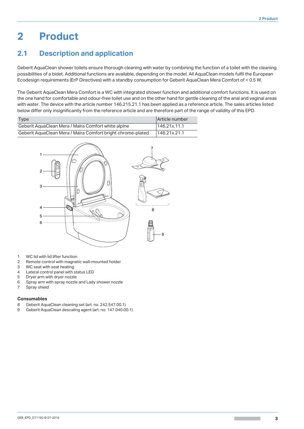# **2 Product**

# **2.1 Description and application**

Geberit AquaClean shower toilets ensure thorough cleaning with water by combining the function of a toilet with the cleaning possibilities of a bidet. Additional functions are available, depending on the model. All AquaClean models fulfil the European Ecodesign requirements (ErP Directives) with a standby consumption for Geberit AquaClean Mera Comfort of < 0.5 W.

The Geberit AquaClean Mera Comfort is a WC with integrated shower function and additional comfort functions. It is used on the one hand for comfortable and odour-free toilet use and on the other hand for gentle cleaning of the anal and vaginal areas with water. The device with the article number 146.215.21.1 has been applied as a reference article. The sales articles listed below differ only insignificantly from the reference article and are therefore part of the range of validity of this EPD.

| Type                                                        | Article number |
|-------------------------------------------------------------|----------------|
| Geberit AquaClean Mera / Maïra Comfort white alpine         | 146.21x.11.1   |
| Geberit AguaClean Mera / Maïra Comfort bright chrome-plated | 146.21x.21.1   |



- 1 WC lid with lid lifter function
- 2 Remote control with magnetic wall-mounted holder
- 3 WC seat with seat heating
- 4 Lateral control panel with status LED
- 5 Dryer arm with dryer nozzle
- 6 Spray arm with spray nozzle and Lady shower nozzle
- 7 Spray shield

#### **Consumables**

- 8 Geberit AquaClean cleaning set (art. no. 242.547.00.1)
- 9 Geberit AquaClean descaling agent (art. no. 147.040.00.1)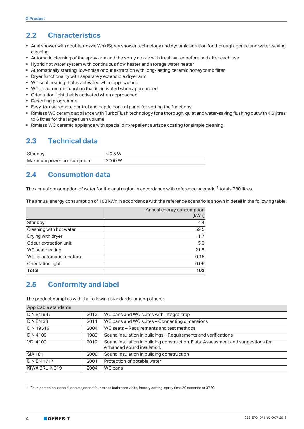# <span id="page-3-1"></span>**2.2 Characteristics**

- Anal shower with double-nozzle WhirlSpray shower technology and dynamic aeration for thorough, gentle and water-saving cleaning
- Automatic cleaning of the spray arm and the spray nozzle with fresh water before and after each use
- Hybrid hot water system with continuous flow heater and storage water heater
- Automatically starting, low-noise odour extraction with long-lasting ceramic honeycomb filter
- Dryer functionality with separately extendible dryer arm
- WC seat heating that is activated when approached
- WC lid automatic function that is activated when approached
- Orientation light that is activated when approached
- Descaling programme
- Easy-to-use remote control and haptic control panel for setting the functions
- Rimless WC ceramic appliance with TurboFlush technology for a thorough, quiet and water-saving flushing out with 4.5 litres to 6 litres for the large flush volume
- Rimless WC ceramic appliance with special dirt-repellent surface coating for simple cleaning

# <span id="page-3-0"></span>**2.3 Technical data**

| Standby                   | < 0.5 W |
|---------------------------|---------|
| Maximum power consumption | 2000 W  |

# <span id="page-3-2"></span>**2.4 Consumption data**

The annual consumption of water for the anal region in accordance with reference scenario  $1$  totals 780 litres.

The annual energy consumption of 103 kWh in accordance with the reference scenario is shown in detail in the following table:

| Annual energy consumption<br>[kWh] |
|------------------------------------|
| 4.4                                |
| 59.5                               |
| 11.7                               |
| 5.3                                |
| 21.5                               |
| 0.15                               |
| 0.06                               |
| 103                                |
|                                    |

# <span id="page-3-3"></span>**2.5 Conformity and label**

The product complies with the following standards, among others:

| Applicable standards |      |                                                                                                                |
|----------------------|------|----------------------------------------------------------------------------------------------------------------|
| <b>DIN EN 997</b>    | 2012 | WC pans and WC suites with integral trap                                                                       |
| DIN EN 33            | 2011 | WC pans and WC suites - Connecting dimensions                                                                  |
| <b>DIN 19516</b>     | 2004 | WC seats – Requirements and test methods                                                                       |
| <b>DIN 4109</b>      | 1989 | Sound insulation in buildings - Requirements and verifications                                                 |
| <b>VDI 4100</b>      | 2012 | Sound insulation in building construction. Flats. Assessment and suggestions for<br>enhanced sound insulation. |
| <b>SIA 181</b>       | 2006 | Sound insulation in building construction                                                                      |
| <b>DIN EN 1717</b>   | 2001 | Protection of potable water                                                                                    |
| KIWA BRL-K 619       | 2004 | WC pans                                                                                                        |

<sup>1</sup> Four-person household, one major and four minor bathroom visits, factory setting, spray time 20 seconds at 37 °C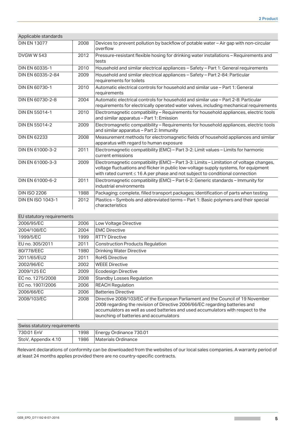| Applicable standards     |      |                                                                                                                                                                                                                                                                       |
|--------------------------|------|-----------------------------------------------------------------------------------------------------------------------------------------------------------------------------------------------------------------------------------------------------------------------|
| <b>DIN EN 13077</b>      | 2008 | Devices to prevent pollution by backflow of potable water - Air gap with non-circular<br>overflow                                                                                                                                                                     |
| <b>DVGWW543</b>          | 2012 | Pressure-resistant flexible hosing for drinking water installations - Requirements and<br>tests                                                                                                                                                                       |
| DIN EN 60335-1           | 2010 | Household and similar electrical appliances - Safety - Part 1: General requirements                                                                                                                                                                                   |
| DIN EN 60335-2-84        | 2009 | Household and similar electrical appliances – Safety – Part 2-84: Particular<br>requirements for toilets                                                                                                                                                              |
| DIN EN 60730-1           | 2010 | Automatic electrical controls for household and similar use – Part 1: General<br>requirements                                                                                                                                                                         |
| DIN EN 60730-2-8         | 2004 | Automatic electrical controls for household and similar use - Part 2-8: Particular<br>requirements for electrically operated water valves, including mechanical requirements                                                                                          |
| DIN EN 55014-1           | 2010 | Electromagnetic compatibility - Requirements for household appliances, electric tools<br>and similar apparatus - Part 1: Emission                                                                                                                                     |
| DIN EN 55014-2           | 2009 | Electromagnetic compatibility - Requirements for household appliances, electric tools<br>and similar apparatus - Part 2: Immunity                                                                                                                                     |
| <b>DIN EN 62233</b>      | 2008 | Measurement methods for electromagnetic fields of household appliances and similar<br>apparatus with regard to human exposure                                                                                                                                         |
| DIN EN 61000-3-2         | 2011 | Electromagnetic compatibility (EMC) – Part 3-2: Limit values – Limits for harmonic<br>current emissions                                                                                                                                                               |
| DIN EN 61000-3-3         | 2009 | Electromagnetic compatibility (EMC) - Part 3-3: Limits - Limitation of voltage changes,<br>voltage fluctuations and flicker in public low-voltage supply systems, for equipment<br>with rated current $\leq 16$ A per phase and not subject to conditional connection |
| DIN EN 61000-6-2         | 2011 | Electromagnetic compatibility (EMC) - Part 6-2: Generic standards - Immunity for<br>industrial environments                                                                                                                                                           |
| <b>DIN ISO 2206</b>      | 1988 | Packaging; complete, filled transport packages; identification of parts when testing                                                                                                                                                                                  |
| <b>DIN EN ISO 1043-1</b> | 2012 | Plastics - Symbols and abbreviated terms - Part 1: Basic polymers and their special<br>characteristics                                                                                                                                                                |

| EU statutory requirements    |      |                                                                                                                                                                                                                                                                                               |
|------------------------------|------|-----------------------------------------------------------------------------------------------------------------------------------------------------------------------------------------------------------------------------------------------------------------------------------------------|
| 2006/95/EC                   | 2006 | Low Voltage Directive                                                                                                                                                                                                                                                                         |
| 2004/108/EC                  | 2004 | <b>EMC Directive</b>                                                                                                                                                                                                                                                                          |
| 1999/5/EC                    | 1999 | <b>RTTY Directive</b>                                                                                                                                                                                                                                                                         |
| EU no. 305/2011              | 2011 | <b>Construction Products Regulation</b>                                                                                                                                                                                                                                                       |
| 80/778/EEC                   | 1980 | <b>Drinking Water Directive</b>                                                                                                                                                                                                                                                               |
| 2011/65/EU2                  | 2011 | <b>RoHS Directive</b>                                                                                                                                                                                                                                                                         |
| 2002/96/EC                   | 2002 | <b>WEEE Directive</b>                                                                                                                                                                                                                                                                         |
| 2009/125 EC                  | 2009 | Ecodesign Directive                                                                                                                                                                                                                                                                           |
| EC no. 1275/2008             | 2008 | <b>Standby Losses Regulation</b>                                                                                                                                                                                                                                                              |
| EC no. 1907/2006             | 2006 | <b>REACH Regulation</b>                                                                                                                                                                                                                                                                       |
| 2006/66/EC                   | 2006 | <b>Batteries Directive</b>                                                                                                                                                                                                                                                                    |
| 2008/103/EC                  | 2008 | Directive 2008/103/EC of the European Parliament and the Council of 19 November<br>2008 regarding the revision of Directive 2006/66/EC regarding batteries and<br>accumulators as well as used batteries and used accumulators with respect to the<br>launching of batteries and accumulators |
| Swiss statutory requirements |      |                                                                                                                                                                                                                                                                                               |

| Swiss statutory requirements |      |                         |  |  |
|------------------------------|------|-------------------------|--|--|
| 730:01 EnV                   | 1998 | Energy Ordinance 730.01 |  |  |
| StoV, Appendix 4.10          | 1986 | Materials Ordinance     |  |  |

Relevant declarations of conformity can be downloaded from the websites of our local sales companies. A warranty period of at least 24 months applies provided there are no country-specific contracts.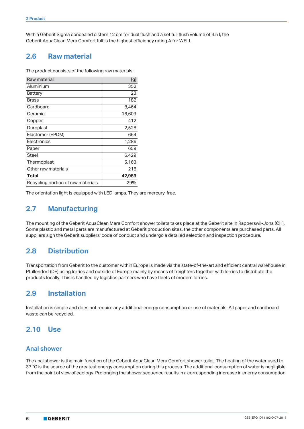With a Geberit Sigma concealed cistern 12 cm for dual flush and a set full flush volume of 4.5 l, the Geberit AquaClean Mera Comfort fulfils the highest efficiency rating A for WELL.

## <span id="page-5-0"></span>**2.6 Raw material**

The product consists of the following raw materials:

| Raw material                       | [g]    |
|------------------------------------|--------|
| Aluminium                          | 352    |
| Battery                            | 23     |
| Brass                              | 182    |
| Cardboard                          | 8.464  |
| Ceramic                            | 16,609 |
| Copper                             | 412    |
| Duroplast                          | 2,528  |
| Elastomer (EPDM)                   | 664    |
| Electronics                        | 1,286  |
| Paper                              | 659    |
| <b>Steel</b>                       | 6,429  |
| Thermoplast                        | 5,163  |
| Other raw materials                | 218    |
| Total                              | 42,989 |
| Recycling portion of raw materials | 29%    |

The orientation light is equipped with LED lamps. They are mercury-free.

# <span id="page-5-2"></span>**2.7 Manufacturing**

The mounting of the Geberit AquaClean Mera Comfort shower toilets takes place at the Geberit site in Rapperswil-Jona (CH). Some plastic and metal parts are manufactured at Geberit production sites, the other components are purchased parts. All suppliers sign the Geberit suppliers' code of conduct and undergo a detailed selection and inspection procedure.

# **2.8 Distribution**

Transportation from Geberit to the customer within Europe is made via the state-of-the-art and efficient central warehouse in Pfullendorf (DE) using lorries and outside of Europe mainly by means of freighters together with lorries to distribute the products locally. This is handled by logistics partners who have fleets of modern lorries.

## <span id="page-5-3"></span>**2.9 Installation**

Installation is simple and does not require any additional energy consumption or use of materials. All paper and cardboard waste can be recycled.

# <span id="page-5-1"></span>**2.10 Use**

#### **Anal shower**

The anal shower is the main function of the Geberit AquaClean Mera Comfort shower toilet. The heating of the water used to 37 °C is the source of the greatest energy consumption during this process. The additional consumption of water is negligible from the point of view of ecology. Prolonging the shower sequence results in a corresponding increase in energy consumption.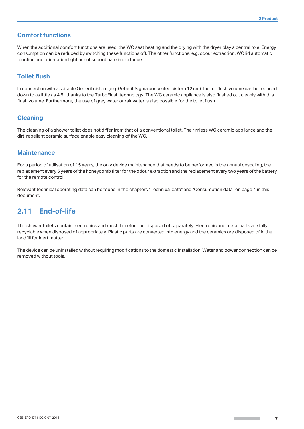#### **Comfort functions**

When the additional comfort functions are used, the WC seat heating and the drying with the dryer play a central role. Energy consumption can be reduced by switching these functions off. The other functions, e.g. odour extraction, WC lid automatic function and orientation light are of subordinate importance.

#### **Toilet flush**

In connection with a suitable Geberit cistern (e.g. Geberit Sigma concealed cistern 12 cm), the full flush volume can be reduced down to as little as 4.5 l thanks to the TurboFlush technology. The WC ceramic appliance is also flushed out cleanly with this flush volume. Furthermore, the use of grey water or rainwater is also possible for the toilet flush.

#### **Cleaning**

The cleaning of a shower toilet does not differ from that of a conventional toilet. The rimless WC ceramic appliance and the dirt-repellent ceramic surface enable easy cleaning of the WC.

#### **Maintenance**

For a period of utilisation of 15 years, the only device maintenance that needs to be performed is the annual descaling, the replacement every 5 years of the honeycomb filter for the odour extraction and the replacement every two years of the battery for the remote control.

Relevant technical operating data can be found in the chapters "Technical data" and "Consumption data" on page [4](#page-3-0) in this document.

## <span id="page-6-0"></span>**2.11 End-of-life**

The shower toilets contain electronics and must therefore be disposed of separately. Electronic and metal parts are fully recyclable when disposed of appropriately. Plastic parts are converted into energy and the ceramics are disposed of in the landfill for inert matter.

The device can be uninstalled without requiring modifications to the domestic installation. Water and power connection can be removed without tools.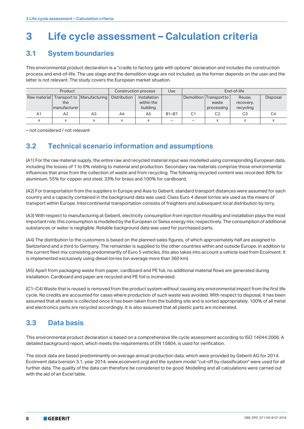# **3 Life cycle assessment – Calculation criteria**

## **3.1 System boundaries**

This environmental product declaration is a "cradle to factory gate with options" declaration and includes the construction process and end-of-life. The use stage and the demolition stage are not included, as the former depends on the user and the latter is not relevant. The study covers the European market situation.

| Product        |                     |                                             |              | Construction process                   | Use          | End-of-life    |                                                |                                  |                 |
|----------------|---------------------|---------------------------------------------|--------------|----------------------------------------|--------------|----------------|------------------------------------------------|----------------------------------|-----------------|
|                | the<br>manufacturer | Raw material   Transport to   Manufacturing | Distribution | Installation<br>within the<br>building |              |                | Demolition Transport to<br>waste<br>processing | Reuse.<br>recovery,<br>recycling | <b>Disposal</b> |
| A <sub>1</sub> | A <sub>2</sub>      | A3                                          | A4           | A5                                     | <b>B1-B7</b> | C <sub>1</sub> | C <sub>2</sub>                                 | CЗ                               | C4              |
|                |                     |                                             |              |                                        |              |                |                                                |                                  |                 |

– not considered / not relevant

# **3.2 Technical scenario information and assumptions**

(A1) For the raw material supply, the entire raw and recycled material input was modelled using corresponding European data, including the losses of 1 to 6% relating to material and production. Secondary raw materials comprise those environmental influences that arise from the collection of waste and from recycling. The following recycled content was recorded: 80% for aluminium, 55% for copper and steel, 33% for brass and 100% for cardboard.

(A2) For transportation from the suppliers in Europe and Asia to Geberit, standard transport distances were assumed for each country and a capacity contained in the background data was used. Class Euro 4 diesel lorries are used as the means of transport within Europe. Intercontinental transportation consists of freighters and subsequent local distribution by lorry.

(A3) With respect to manufacturing at Geberit, electricity consumption from injection moulding and installation plays the most important role; this consumption is modelled by the European or Swiss energy mix, respectively. The consumption of additional substances or water is negligible. Reliable background data was used for purchased parts.

(A4) The distribution to the customers is based on the planned sales figures, of which approximately half are assigned to Switzerland and a third to Germany. The remainder is supplied to the other countries within and outside Europe. In addition to the current fleet mix consisting predominantly of Euro 5 vehicles, this also takes into account a vehicle load from Ecoinvent. It is implemented exclusively using diesel lorries (on average more than 360 km).

(A5) Apart from packaging waste from paper, cardboard and PE foil, no additional material flows are generated during installation. Cardboard and paper are recycled and PE foil is incinerated.

(C1–C4) Waste that is reused is removed from the product system without causing any environmental impact from the first life cycle. No credits are accounted for cases where production of such waste was avoided. With respect to disposal, it has been assumed that all waste is collected once it has been taken from the building site and is sorted appropriately. 100% of all metal and electronics parts are recycled accordingly. It is also assumed that all plastic parts are incinerated.

# **3.3 Data basis**

This environmental product declaration is based on a comprehensive life cycle assessment according to ISO 14044:2006. A detailed background report, which meets the requirements of EN 15804, is used for verification.

The stock data are based predominantly on average annual production data, which were provided by Geberit AG for 2014. Ecoinvent data (version 3.1, year 2014; www.ecoinvent.org) and the system model "cut-off by classification" were used for all further data. The quality of the data can therefore be considered to be good. Modelling and all calculations were carried out with the aid of an Excel table.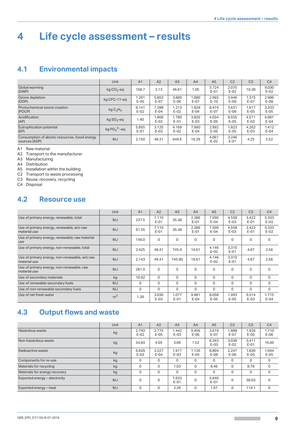# **4 Life cycle assessment – results**

## <span id="page-8-0"></span>**4.1 Environmental impacts**

|                                                                  | <b>Unit</b>                      | A <sub>1</sub>  | A2              | A <sub>3</sub>  | A4              | A <sub>5</sub>  | C <sub>2</sub>  | C <sub>3</sub>  | C <sub>4</sub>  |
|------------------------------------------------------------------|----------------------------------|-----------------|-----------------|-----------------|-----------------|-----------------|-----------------|-----------------|-----------------|
| Global warming<br>(GWP)                                          | $kg CO2 - eq$                    | 168.7           | 3.13            | 46.61           | 1.05            | 3.724<br>$E-01$ | 2.075<br>$E-02$ | 19.38           | 9.030<br>$E-02$ |
| Ozone depletion<br>(ODP)                                         | kg CFC-11-eq                     | 1.291<br>$E-05$ | 5.853<br>$E-07$ | 3.889<br>$E-06$ | 1.980<br>$E-07$ | 2.965<br>$E-10$ | 3.946<br>$E-09$ | 1.315<br>$E-07$ | 2.986<br>$E-08$ |
| Photochemical ozone creation<br>(POCP)                           | kg C <sub>2</sub> H <sub>4</sub> | 8.141<br>$E-02$ | 7.288<br>$E-04$ | 1.213<br>$E-02$ | 1.828<br>$E-04$ | 8.474<br>$E-07$ | 3.631<br>$E-08$ | 1.617<br>$E-05$ | 3.333<br>$E-05$ |
| Acidification<br>(AP)                                            | $kg$ SO <sub>2</sub> -eq         | 1.40            | 1.868<br>$E-02$ | 1.780<br>$E-01$ | 3.826<br>$E-03$ | 4.034<br>$E-05$ | 8.555<br>$E-05$ | 4.511<br>$E-03$ | 6.881<br>$E-04$ |
| Eutrophication potential<br>(EP)                                 | kg $PO_4^3$ -eq                  | 5.855<br>$E-01$ | 3.125<br>$E-03$ | 4.169<br>$E-02$ | 7.990<br>$E-04$ | 2.992<br>$E-05$ | 1.823<br>$E-05$ | 4.262<br>$E-03$ | 1.412<br>$E-04$ |
| Consumption of abiotic resources, fossil energy<br>sources (ADP) | <b>MJ</b>                        | 2.150           | 48.31           | 649.6           | 16.29           | 4.061<br>$E-02$ | 3.246<br>$E-01$ | 4.25            | 2.52            |

A1 Raw material

A2 Transport to the manufacturer

A3 Manufacturing

A4 Distribution

A5 Installation within the building

C2 Transport to waste processing

C3 Reuse, recovery, recycling

C4 Disposal

## <span id="page-8-1"></span>**4.2 Resource use**

|                                                               | <b>Unit</b>    | A <sub>1</sub> | A2              | A3              | A4              | A <sub>5</sub>  | C <sub>2</sub>  | C <sub>3</sub>  | C <sub>4</sub>  |
|---------------------------------------------------------------|----------------|----------------|-----------------|-----------------|-----------------|-----------------|-----------------|-----------------|-----------------|
| Use of primary energy, renewable, total                       | <b>MJ</b>      | 237.5          | 7.110<br>$E-01$ | 35.38           | 2.286<br>$E-01$ | 7.590<br>$E-04$ | 4.558<br>$E-03$ | 3.422<br>$E-01$ | 5.333<br>$E-02$ |
| Use of primary energy, renewable, w/o raw<br>material use     | <b>MJ</b>      | 91.55          | 7.110<br>$E-01$ | 35.38           | 2.286<br>$E-01$ | 7.590<br>$E-04$ | 4.558<br>$E-03$ | 3.422<br>$E-01$ | 5.333<br>$E-02$ |
| Use of primary energy, renewable, raw material<br>use         | <b>MJ</b>      | 146.0          | $\mathbf 0$     | $\Omega$        | $\Omega$        | $\mathbf 0$     | $\mathbf 0$     | $\Omega$        | $\Omega$        |
| Use of primary energy, non-renewable, total                   | <b>MJ</b>      | 2.425          | 49.41           | 745.9           | 16.61           | 4.146<br>$E-02$ | 3.310<br>$E-01$ | 4.87            | 2.56            |
| Use of primary energy, non-renewable, w/o raw<br>material use | <b>MJ</b>      | 2.143          | 49.41           | 745.90          | 16.61           | 4.146<br>$E-02$ | 3.310<br>$E-01$ | 4.87            | 2.56            |
| Use of primary energy, non-renewable, raw<br>material use     | <b>MJ</b>      | 281.9          | $\mathbf 0$     | $\mathbf 0$     | $\Omega$        | $\mathbf 0$     | $\mathbf 0$     | $\Omega$        | $\Omega$        |
| Use of secondary materials                                    | kg             | 10.92          | $\mathbf 0$     | $\Omega$        | $\mathbf 0$     | $\mathbf 0$     | $\mathbf 0$     | $\Omega$        | $\mathbf 0$     |
| Use of renewable secondary fuels                              | <b>MJ</b>      | $\Omega$       | $\Omega$        | $\Omega$        | $\Omega$        | $\Omega$        | $\Omega$        | $\Omega$        | $\Omega$        |
| Use of non-renewable secondary fuels                          | <b>MJ</b>      | 0              | $\Omega$        | $\Omega$        | $\Omega$        | $\Omega$        | $\Omega$        | $\Omega$        | 0               |
| Use of net fresh water                                        | m <sup>3</sup> | 1.28           | 3.030<br>$E-03$ | 1.077<br>$E-01$ | 9.981<br>$E-04$ | 8.058<br>$E-05$ | 1.993<br>$E-05$ | 9.514<br>$E-03$ | 1.715<br>$E-04$ |

# **4.3 Output flows and waste**

|                               | <b>Unit</b> | A <sub>1</sub>  | A <sub>2</sub>  | A3              | A4              | A <sub>5</sub>  | C <sub>2</sub>  | C <sub>3</sub>  | C <sub>4</sub>  |
|-------------------------------|-------------|-----------------|-----------------|-----------------|-----------------|-----------------|-----------------|-----------------|-----------------|
| Hazardous waste               | kg          | 2.793<br>$E-02$ | 2.775<br>$E-05$ | 1.442<br>$E-03$ | 9.456<br>$E-06$ | 3.619<br>$E-07$ | .888<br>$E-07$  | 1.926<br>$E-05$ | 1.710<br>$E-06$ |
| Non-hazardous waste           | kg          | 34.83           | 4.05            | 3.06            | 1.52            | 6.343<br>$E-03$ | 3.038<br>$E-02$ | 3.411<br>$E-01$ | 16.60           |
| Radioactive waste             | kg          | 6.829<br>$E-03$ | 3.327<br>$E-04$ | 1.917<br>$E-03$ | 1.126<br>$E-04$ | 8.804<br>$E-08$ | 2.247<br>$E-06$ | 1.830<br>$E-05$ | 1.694<br>$E-05$ |
| Components for re-use         | kg          | 0               | $\Omega$        | $\Omega$        | $\Omega$        | $\Omega$        | $\Omega$        | $\Omega$        | $\Omega$        |
| Materials for recycling       | kg          | $\Omega$        | $\Omega$        | 1.03            | $\Omega$        | 8.46            | $\Omega$        | 8.78            | $\Omega$        |
| Materials for energy recovery | kg          | 0               | 0               | $\Omega$        | $\Omega$        | $\mathbf 0$     | $\Omega$        | $\Omega$        | $\Omega$        |
| Exported energy - electricity | <b>MJ</b>   | 0               | 0               | 7.633<br>$E-01$ | $\Omega$        | 5.640<br>$E-01$ | $\mathbf 0$     | 38.03           | 0               |
| Exported energy - heat        | <b>MJ</b>   | 0               | 0               | 2.26            | $\Omega$        | 1.67            | 0               | 114.1           | $\Omega$        |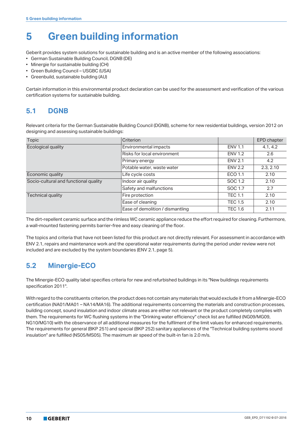# **5 Green building information**

Geberit provides system solutions for sustainable building and is an active member of the following associations:

- German Sustainable Building Council, DGNB (DE)
- Minergie for sustainable building (CH)
- Green Building Council USGBC (USA)
- Greenbuild, sustainable building (AU)

Certain information in this environmental product declaration can be used for the assessment and verification of the various certification systems for sustainable building.

# **5.1 DGNB**

Relevant criteria for the German Sustainable Building Council (DGNB), scheme for new residential buildings, version 2012 on designing and assessing sustainable buildings:

| Topic                                 | Criterion                        |                | EPD chapter |
|---------------------------------------|----------------------------------|----------------|-------------|
| Ecological quality                    | Environmental impacts            |                | 4.1, 4.2    |
|                                       | Risks for local environment      | <b>ENV 1.2</b> | 2.6         |
|                                       | Primary energy                   | <b>ENV 2.1</b> | 4.2         |
|                                       | Potable water, waste water       | <b>ENV 2.2</b> | 2.3, 2.10   |
| Economic quality                      | Life cycle costs                 | ECO 1.1        | 2.10        |
| Socio-cultural and functional quality | Indoor air quality               | SOC 1.2        | 2.10        |
|                                       | Safety and malfunctions          | SOC 1.7        | 2.7         |
| <b>Technical quality</b>              | Fire protection                  | <b>TEC 1.1</b> | 2.10        |
|                                       | Ease of cleaning                 | <b>TEC 1.5</b> | 2.10        |
|                                       | Ease of demolition / dismantling | <b>TEC 1.6</b> | 2.11        |

The dirt-repellent ceramic surface and the rimless WC ceramic appliance reduce the effort required for cleaning. Furthermore, a wall-mounted fastening permits barrier-free and easy cleaning of the floor.

The topics and criteria that have not been listed for this product are not directly relevant. For assessment in accordance with ENV 2.1, repairs and maintenance work and the operational water requirements during the period under review were not included and are excluded by the system boundaries (ENV 2.1, page 5).

# **5.2 Minergie-ECO**

The Minergie-ECO quality label specifies criteria for new and refurbished buildings in its "New buildings requirements specification 2011".

With regard to the constituents criterion, the product does not contain any materials that would exclude it from a Minergie-ECO certification (NA01/MA01 – NA14/MA16). The additional requirements concerning the materials and construction processes, building concept, sound insulation and indoor climate areas are either not relevant or the product completely complies with them. The requirements for WC flushing systems in the "Drinking water efficiency" check list are fulfilled (NG09/MG09, NG10/MG10) with the observance of all additional measures for the fulfilment of the limit values for enhanced requirements. The requirements for general (BKP 251) and special (BKP 252) sanitary appliances of the "Technical building systems sound insulation" are fulfilled (NS05/MS05). The maximum air speed of the built-in fan is 2.0 m/s.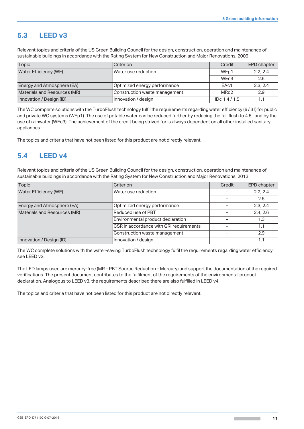# **5.3 LEED v3**

Relevant topics and criteria of the US Green Building Council for the design, construction, operation and maintenance of sustainable buildings in accordance with the Rating System for New Construction and Major Renovations, 2009:

| Topic                        | Criterion                     | Credit            | EPD chapter |
|------------------------------|-------------------------------|-------------------|-------------|
| Water Efficiency (WE)        | Water use reduction           | WE <sub>p1</sub>  | 2.2.2.4     |
|                              |                               | WE <sub>c</sub> 3 | 2.5         |
| Energy and Atmosphere (EA)   | Optimized energy performance  | EAc1              | 2.3.2.4     |
| Materials and Resources (MR) | Construction waste management | MRc2              | 2.9         |
| Innovation / Design (ID)     | Innovation / design           | $IDc$ 1.4 / 1.5   | 1.1         |

The WC complete solutions with the TurboFlush technology fulfil the requirements regarding water efficiency (6 / 3 l) for public and private WC systems (WEp1). The use of potable water can be reduced further by reducing the full flush to 4.5 l and by the use of rainwater (WEc3). The achievement of the credit being strived for is always dependent on all other installed sanitary appliances.

The topics and criteria that have not been listed for this product are not directly relevant.

## **5.4 LEED v4**

Relevant topics and criteria of the US Green Building Council for the design, construction, operation and maintenance of sustainable buildings in accordance with the Rating System for New Construction and Major Renovations, 2013:

| <b>Topic</b>                 | Criterion                               | Credit | <b>EPD chapter</b> |
|------------------------------|-----------------------------------------|--------|--------------------|
| Water Efficiency (WE)        | Water use reduction                     |        | 2.2.2.4            |
|                              |                                         |        | 2.5                |
| Energy and Atmosphere (EA)   | Optimized energy performance            |        | 2.3.2.4            |
| Materials and Resources (MR) | Reduced use of PBT                      |        | 2.4.2.6            |
|                              | Environmental product declaration       |        | 1.3                |
|                              | CSR in accordance with GRI requirements |        | 1.1                |
|                              | Construction waste management           |        | 2.9                |
| Innovation / Design (ID)     | Innovation / design                     |        | 1.1                |

The WC complete solutions with the water-saving TurboFlush technology fulfil the requirements regarding water efficiency, see LEED v3.

The LED lamps used are mercury-free (MR – PBT Source Reduction – Mercury) and support the documentation of the required verifications. The present document contributes to the fulfilment of the requirements of the environmental product declaration. Analogous to LEED v3, the requirements described there are also fulfilled in LEED v4.

The topics and criteria that have not been listed for this product are not directly relevant.